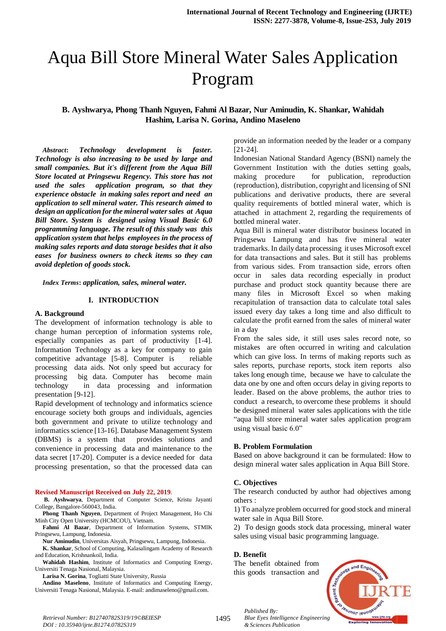# Aqua Bill Store Mineral Water Sales Application Program

# **B. Ayshwarya, Phong Thanh Nguyen, Fahmi Al Bazar, Nur Aminudin, K. Shankar, Wahidah Hashim, Larisa N. Gorina, Andino Maseleno**

*Abstract***:** *Technology development is faster. Technology is also increasing to be used by large and small companies. But it's different from the Aqua Bill Store located at Pringsewu Regency. This store has not used the sales application program, so that they experience obstacle in making sales report and need an application to sell mineral water. This research aimed to design an application for the mineral water sales at Aqua Bill Store. System is designed using Visual Basic 6.0 programming language. The result of this study was this application system that helps employees in the process of making sales reports and data storage besides that it also eases for business owners to check items so they can avoid depletion of goods stock.* 

*Index Terms***:** *application, sales, mineral water.*

#### **I. INTRODUCTION**

#### **A. Background**

The development of information technology is able to change human perception of information systems role, especially companies as part of productivity [1-4]. Information Technology as a key for company to gain competitive advantage [5-8]. Computer is reliable processing data aids. Not only speed but accuracy for processing big data. Computer has become main technology in data processing and information presentation [9-12].

Rapid development of technology and informatics science encourage society both groups and individuals, agencies both government and private to utilize technology and informatics science [13-16]. Database Management System (DBMS) is a system that provides solutions and convenience in processing data and maintenance to the data secret [17-20]. Computer is a device needed for data processing presentation, so that the processed data can

#### **Revised Manuscript Received on July 22, 2019**.

**B. Ayshwarya**, Department of Computer Science, Kristu Jayanti College, Bangalore-560043, India.

**Phong Thanh Nguyen**, Department of Project Management, Ho Chi Minh City Open University (HCMCOU), Vietnam.

**Fahmi Al Bazar**, Department of Information Systems, STMIK Pringsewu, Lampung, Indonesia.

**Nur Aminudin**, Universitas Aisyah, Pringsewu, Lampung, Indonesia.

**K. Shankar**, School of Computing, Kalasalingam Academy of Research and Education, Krishnankoil, India.

**Wahidah Hashim**, Institute of Informatics and Computing Energy, Universiti Tenaga Nasional, Malaysia.

**Larisa N. Gorina**, Togliatti State University, Russia

**Andino Maseleno**, Institute of Informatics and Computing Energy, Universiti Tenaga Nasional, Malaysia. E-mail: andimaseleno@gmail.com.

provide an information needed by the leader or a company [21-24].

Indonesian National Standard Agency (BSNI) namely the Government Institution with the duties setting goals, making procedure for publication, reproduction (reproduction), distribution, copyright and licensing of SNI publications and derivative products, there are several quality requirements of bottled mineral water, which is attached in attachment 2, regarding the requirements of bottled mineral water.

Aqua Bill is mineral water distributor business located in Pringsewu Lampung and has five mineral water trademarks. In daily data processing it uses Microsoft excel for data transactions and sales. But it still has problems from various sides. From transaction side, errors often occur in sales data recording especially in product purchase and product stock quantity because there are many files in Microsoft Excel so when making recapitulation of transaction data to calculate total sales issued every day takes a long time and also difficult to calculate the profit earned from the sales of mineral water in a day

From the sales side, it still uses sales record note, so mistakes are often occurred in writing and calculation which can give loss. In terms of making reports such as sales reports, purchase reports, stock item reports also takes long enough time, because we have to calculate the data one by one and often occurs delay in giving reports to leader. Based on the above problems, the author tries to conduct a research, to overcome these problems it should be designed mineral water sales applications with the title "aqua bill store mineral water sales application program using visual basic 6.0"

#### **B. Problem Formulation**

Based on above background it can be formulated: How to design mineral water sales application in Aqua Bill Store.

#### **C. Objectives**

The research conducted by author had objectives among others :

1) To analyze problem occurred for good stock and mineral water sale in Aqua Bill Store.

2) To design goods stock data processing, mineral water sales using visual basic programming language.

#### **D. Benefit**

The benefit obtained from this goods transaction and



*Published By: Blue Eyes Intelligence Engineering & Sciences Publication*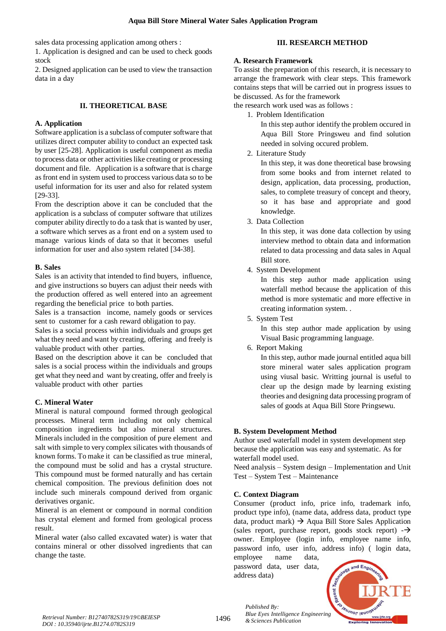sales data processing application among others :

1. Application is designed and can be used to check goods stock

2. Designed application can be used to view the transaction data in a day

### **II. THEORETICAL BASE**

### **A. Application**

Software application is a subclass of computer software that utilizes direct computer ability to conduct an expected task by user [25-28]. Application is useful component as media to process data or other activities like creating or processing document and file. Application is a software that is charge as front end in system used to proccess various data so to be useful information for its user and also for related system [29-33].

From the description above it can be concluded that the application is a subclass of computer software that utilizes computer ability directly to do a task that is wanted by user, a software which serves as a front end on a system used to manage various kinds of data so that it becomes useful information for user and also system related [34-38].

### **B. Sales**

Sales is an activity that intended to find buyers, influence, and give instructions so buyers can adjust their needs with the production offered as well entered into an agreement regarding the beneficial price to both parties.

Sales is a transaction income, namely goods or services sent to customer for a cash reward obligation to pay.

Sales is a social process within individuals and groups get what they need and want by creating, offering and freely is valuable product with other parties.

Based on the description above it can be concluded that sales is a social process within the individuals and groups get what they need and want by creating, offer and freely is valuable product with other parties

#### **C. Mineral Water**

Mineral is natural compound formed through geological processes. Mineral term including not only chemical composition ingredients but also mineral structures. Minerals included in the composition of pure element and salt with simple to very complex silicates with thousands of known forms. To make it can be classified as true mineral, the compound must be solid and has a crystal structure. This compound must be formed naturally and has certain chemical composition. The previous definition does not include such minerals compound derived from organic derivatives organic.

Mineral is an element or compound in normal condition has crystal element and formed from geological process result.

Mineral water (also called excavated water) is water that contains mineral or other dissolved ingredients that can change the taste.

## **III. RESEARCH METHOD**

### **A. Research Framework**

To assist the preparation of this research, it is necessary to arrange the framework with clear steps. This framework contains steps that will be carried out in progress issues to be discussed. As for the framework

the research work used was as follows :

1. Problem Identification

In this step author identify the problem occured in Aqua Bill Store Pringsweu and find solution needed in solving occured problem.

2. Literature Study

In this step, it was done theoretical base browsing from some books and from internet related to design, application, data processing, production, sales, to complete treasury of concept and theory, so it has base and appropriate and good knowledge.

3. Data Collection

In this step, it was done data collection by using interview method to obtain data and information related to data processing and data sales in Aqual Bill store.

4. System Development

In this step author made application using waterfall method because the application of this method is more systematic and more effective in creating information system. .

5. System Test

In this step author made application by using Visual Basic programming language.

6. Report Making

In this step, author made journal entitled aqua bill store mineral water sales application program using viusal basic. Writting journal is useful to clear up the design made by learning existing theories and designing data processing program of sales of goods at Aqua Bill Store Pringsewu.

# **B. System Development Method**

Author used waterfall model in system development step because the application was easy and systematic. As for waterfall model used.

Need analysis – System design – Implementation and Unit Test – System Test – Maintenance

# **C. Context Diagram**

Consumer (product info, price info, trademark info, product type info), (name data, address data, product type data, product mark)  $\rightarrow$  Aqua Bill Store Sales Application (sales report, purchase report, goods stock report)  $\rightarrow$ owner. Employee (login info, employee name info, password info, user info, address info) ( login data,

employee name data, password data, user data, address data)

*Published By:*

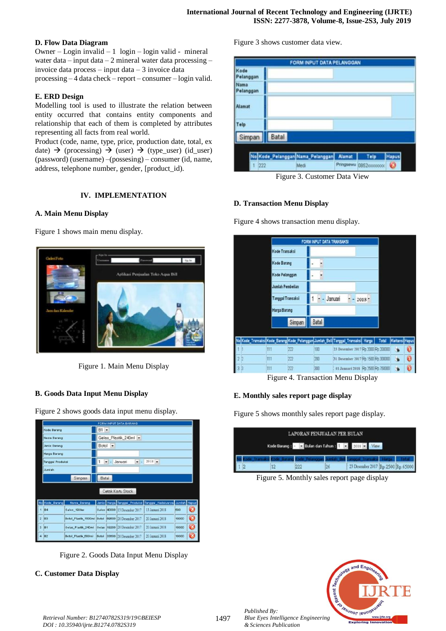# **D. Flow Data Diagram**

Owner – Login invalid – 1 login – login valid - mineral water data – input data – 2 mineral water data processing – invoice data process – input data – 3 invoice data processing – 4 data check – report – consumer – login valid.

### **E. ERD Design**

Modelling tool is used to illustrate the relation between entity occurred that contains entity components and relationship that each of them is completed by attributes representing all facts from real world.

Product (code, name, type, price, production date, total, ex date)  $\rightarrow$  (processing)  $\rightarrow$  (user)  $\rightarrow$  (type\_user) (id\_user) (password) (username) –(possesing) – consumer (id, name, address, telephone number, gender, [product\_id).

# **IV. IMPLEMENTATION**

# **A. Main Menu Display**

Figure 1 shows main menu display.



Figure 1. Main Menu Display

# **B. Goods Data Input Menu Display**

Figure 2 shows goods data input menu display.

|                |                  |                                                   |                                    |             | <b>FORM INPUT DATA BARANG</b>       |                                                              |       |           |  |  |
|----------------|------------------|---------------------------------------------------|------------------------------------|-------------|-------------------------------------|--------------------------------------------------------------|-------|-----------|--|--|
|                | Kode Barang      |                                                   |                                    | $B1 -$      |                                     |                                                              |       |           |  |  |
|                | Nama Barang      |                                                   | Gelas Plastik 240ml -              |             |                                     |                                                              |       |           |  |  |
|                | Jenis Barang     |                                                   | Botol<br>$\overline{\phantom{a}}$  |             |                                     |                                                              |       |           |  |  |
|                | Harga Barang     |                                                   |                                    |             |                                     |                                                              |       |           |  |  |
|                | Tanggal Produksi |                                                   | $2018 -$<br>1<br>Januari<br>۰<br>٠ |             |                                     |                                                              |       |           |  |  |
|                | Jumlah           |                                                   |                                    |             |                                     |                                                              |       |           |  |  |
|                | Simpan           |                                                   |                                    | Batal       |                                     |                                                              |       |           |  |  |
|                |                  |                                                   |                                    |             | Cetak Kartu Stock                   |                                                              |       |           |  |  |
|                | No Kode Barang   | Nama_Barang                                       |                                    |             |                                     | Jenis Harga Tanggal_Produksi Tanggal_Kadaluarsa Jumlah Hapus |       |           |  |  |
|                | 1 B4             | Galon 19liter                                     |                                    | Galon 40000 | 13 Desember 2017                    | 13 Januari 2018                                              | 500   | 63        |  |  |
| $\overline{2}$ | IB3              | Botol Plastik 1500ml Botol 69600 20 Desember 2017 |                                    |             |                                     | 20 Januari 2018                                              | 10000 | $\bullet$ |  |  |
| 3              | le <sub>1</sub>  | Gelas_Plastik_240ml Gelas  19200 20 Desember 2017 |                                    |             |                                     | 20 Januari 2018                                              | 10000 | $\bullet$ |  |  |
|                | 4 B2             | Botol Plastik 600ml                               |                                    |             | <b>Botol</b> 33600 20 Desember 2017 | 20 Januari 2018                                              | 10000 |           |  |  |

Figure 2. Goods Data Input Menu Display

#### **C. Customer Data Display**

Figure 3 shows customer data view.



Figure 3. Customer Data View

#### **D. Transaction Menu Display**

Figure 4 shows transaction menu display.

|                                                                                   | FORM INPUT DATA TRANSAKSI |        |              |                                    |          |       |                |   |
|-----------------------------------------------------------------------------------|---------------------------|--------|--------------|------------------------------------|----------|-------|----------------|---|
|                                                                                   | Kode Transaksi            |        |              |                                    |          |       |                |   |
|                                                                                   | Kode Barang               |        |              |                                    |          |       |                |   |
|                                                                                   | Kode Pelanggan            |        |              |                                    |          |       |                |   |
|                                                                                   | Jumlah Pembelian          |        |              |                                    |          |       |                |   |
|                                                                                   | Tanggal Transaksi         |        |              | Januari                            | $2018 -$ |       |                |   |
|                                                                                   | Harga Barang              |        |              |                                    |          |       |                |   |
|                                                                                   |                           | Simpan | <b>Batal</b> |                                    |          |       |                |   |
|                                                                                   |                           |        |              |                                    |          |       |                |   |
| No Kode_Transaks  Kode_Barang Kode_Pelanggan Jumlah_Beli Tanggal_Transaks   Harga |                           |        |              |                                    |          | Total | Kwitansi Hapus |   |
| 111                                                                               |                           | 222    | 108          | 23 Desember 2017 Ft 2000 Ft 200000 |          |       |                | ø |
| 111                                                                               |                           | 222    | 200          | 31 Desember 2017 Rp 1500 Rp 300000 |          |       |                | ø |
| 111                                                                               |                           | 222    | 300          | 01 Januari 2018 Rp 2500 Rp 750000  |          |       |                |   |

Figure 4. Transaction Menu Display

# **E. Monthly sales report page display**

Figure 5 shows monthly sales report page display.

|  |  | LAPORAN PENJUALAN PER BULAN |    |                                              |  |
|--|--|-----------------------------|----|----------------------------------------------|--|
|  |  |                             |    | Kode Barang: - Dalan dan Tahun: 1 2018 Dalaw |  |
|  |  |                             |    |                                              |  |
|  |  | 222                         | 26 | 23 Desember 2017 [Rp. 2500 [Rp. 65000        |  |

Figure 5. Monthly sales report page display



*Published By: Blue Eyes Intelligence Engineering & Sciences Publication*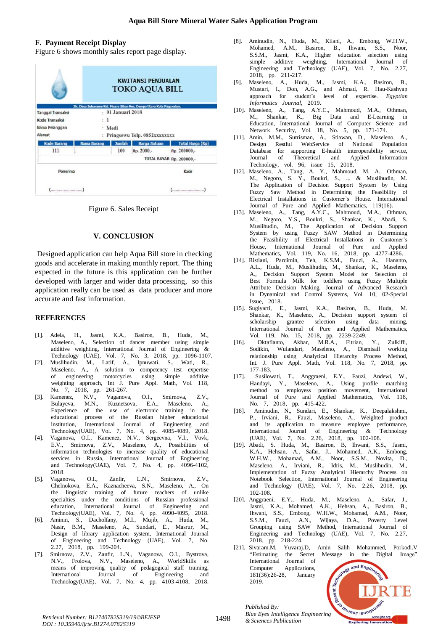# **F. Payment Receipt Display**

Figure 6 shows monthly sales report page display.

|                          |                                           | <b>KWITANSI PENJUALAN</b><br><b>TOKO AQUA BILL</b> |                                                                      |                                 |  |  |  |
|--------------------------|-------------------------------------------|----------------------------------------------------|----------------------------------------------------------------------|---------------------------------|--|--|--|
|                          |                                           |                                                    | Jln. Desa Sukarame Kel. Muara Siban Kec. Dempo Utara Kota Pagaralam. |                                 |  |  |  |
| <b>Tanggal Transaksi</b> | ۰                                         | 01 Januari 2018                                    |                                                                      |                                 |  |  |  |
| Kode Transaksi           |                                           | 1                                                  |                                                                      |                                 |  |  |  |
| Nama Pelanggan           | Medi<br>÷<br>Pringsewu Telp. 0852xxxxxxxx |                                                    |                                                                      |                                 |  |  |  |
| Alamat                   |                                           |                                                    |                                                                      |                                 |  |  |  |
| <b>Kode Barang</b>       | <b>Nama Barang</b>                        | <b>Jumlah</b>                                      | <b>Harga Satuan</b>                                                  | <b>Total Harga (Rp)</b>         |  |  |  |
| 111                      |                                           | 100                                                | Rp. 2000,-                                                           | Rp. 200000,-                    |  |  |  |
|                          |                                           |                                                    |                                                                      | <b>TOTAL BAYAR Rp. 200000,-</b> |  |  |  |
| Penerima                 |                                           |                                                    |                                                                      | Kasir                           |  |  |  |
| (                        |                                           |                                                    |                                                                      | (                               |  |  |  |

Figure 6. Sales Receipt

### **V. CONCLUSION**

Designed application can help Aqua Bill store in checking goods and accelerate in making monthly report. The thing expected in the future is this application can be further developed with larger and wider data processing, so this application really can be used as data producer and more accurate and fast information.

#### **REFERENCES**

- [1]. Adela, H., Jasmi, K.A., Basiron, B., Huda, M., Maseleno, A., Selection of dancer member using simple additive weighting, International Journal of Engineering  $\&$ Technology (UAE), Vol. 7, No. 3, 2018, pp. 1096-1107.
- [2]. Muslihudin, M., Latif, A., Ipnuwati, S., Wati, R., Maseleno, A., A solution to competency test expertise of engineering motorcycles using simple additive weighting approach, Int J. Pure Appl. Math, Vol. 118, No. 7, 2018, pp. 261-267.
- [3]. Kamenez, N.V., Vaganova, O.I., Smirnova, Z.V., Bulayeva, M.N., Kuznetsova, E.A., Maseleno, A., Experience of the use of electronic training in the educational process of the Russian higher educational institution, International Journal of Engineering and Technology(UAE), Vol. 7, No. 4, pp. 4085-4089, 2018.
- [4]. Vaganova, O.I., Kamenez, N.V., Sergeevna, V.I., Vovk, E.V., Smirnova, Z.V., Maseleno, A., Possibilities of information technologies to increase quality of educational services in Russia, International Journal of Engineering and Technology(UAE), Vol. 7, No. 4, pp.  $4096-4102$ , 2018.
- [5]. Vaganova, O.I., Zanfir, L.N., Smirnova, Z.V., Chelnokova, E.A., Kaznacheeva, S.N., Maseleno, A., On the linguistic training of future teachers of unlike specialties under the conditions of Russian professional education, International Journal of Engineering and Technology(UAE), Vol. 7, No. 4, pp.  $4090-4095$ ,  $2018$ .
- [6]. Aminin, S., Dacholfany, M.I., Mujib, A., Huda, M., Nasir, B.M., Maseleno, A., Sundari, E., Masrur, M., Design of library application system, International Journal of Engineering and Technology (UAE), Vol. 7, No. 2.27, 2018, pp. 199-204.
- [7]. Smirnova, Z.V., Zanfir, L.N., Vaganova, O.I., Bystrova, N.V., Frolova, N.V., Maseleno, A., WorldSkills as means of improving quality of pedagogical staff training, International Journal of Engineering and Technology(UAE), Vol. 7, No. 4, pp. 4103-4108, 2018.
- [8]. Aminudin, N., Huda, M., Kilani, A., Embong, W.H.W., Mohamed, A.M., Basiron, B., Ihwani, S.S., Noor, S.S.M., Jasmi, K.A., Higher education selection using simple additive weighting, International Journal of Engineering and Technology (UAE), Vol. 7, No. 2.27, 2018, pp. 211-217.
- [9]. Maseleno, A., Huda, M., Jasmi, K.A., Basiron, B., Mustari, I., Don, A.G., and Ahmad, R. Hau-Kashyap approach for student's level of expertise. Egyptian *Informatics Journal*, 2019.
- [10]. Maseleno, A., Tang, A.Y.C., Mahmoud, M.A., Othman, M., Shankar, K., Big Data and E-Learning in Education, International Journal of Computer Science and Network Security, Vol. 18, No. 5, pp. 171-174.
- [11]. Amin, M.M., Sutrisman, A., Stiawan, D., Maseleno, A., Design Restful WebService of National Population Database for supporting E-health interoperability service,<br>Journal of Theoretical and Applied Information Journal of Theoretical and Applied Information Technology, vol. 96, issue 15, 2018.
- [12]. Maseleno, A., Tang, A. Y., Mahmoud, M. A., Othman, M., Negoro, S. Y., Boukri, S., ... & Muslihudin, M. The Application of Decision Support System by Using Fuzzy Saw Method in Determining the Feasibility of Electrical Installations in Customer's House. International Journal of Pure and Applied Mathematics, 119(16).
- [13]. Maseleno, A., Tang, A.Y.C., Mahmoud, M.A., Othman, M., Negoro, Y.S., Boukri, S., Shankar, K., Abadi, S. Muslihudin, M., The Application of Decision Support System by using Fuzzy SAW Method in Determining the Feasibility of Electrical Installations in Customer's House, International Journal of Pure and Applied Mathematics, Vol. 119, No. 16, 2018, pp. 4277-4286.
- [14]. Ristiani, Pardimin, Teh, K.S.M., Fauzi, A., Hananto, A.L., Huda, M., Muslihudin, M., Shankar, K., Maseleno, A., Decision Support System Model for Selection of Best Formula Milk for toddlers using Fuzzy Multiple Attribute Decision Making, Journal of Advanced Research in Dynamical and Control Systems, Vol. 10, 02-Special  $I_{\text{ssue}}$ , 2018.
- [15]. Sugiyarti, E., Jasmi, K.A., Basiron, B., Huda, M. Shankar, K., Maseleno, A., Decision support system of scholarship grantee selection using data mining, International Journal of Pure and Applied Mathematics, Vol. 119, No. 15, 2018, pp. 2239-2249.
- [16]. Oktafianto, Akbar, M.R.A., Fitrian, Y., Zulkifli, Sodikin, Wulandari, Maseleno, A., Dismisall working relationship using Analytical Hierarchy Process Method, Int. J. Pure Appl. Math, Vol. 118, No. 7, 2018, pp. 177-183.
- [17]. Susilowati, T., Anggraeni, E.Y., Fauzi, Andewi, W., Handayi, Y., Maseleno, A., Using profile matching method to employess position movement, International Journal of Pure and Applied Mathematics, Vol. 118, No. 7, 2018, pp. 415-422.
- [18]. Aminudin, N., Sundari, E., Shankar, K., Deepalakshmi, P., Irviani, R., Fauzi, Maseleno, A., Weighted product and its application to measure employee performance, International Journal of Engineering  $\&$  Technology (UAE), Vol. 7, No. 2.26, 2018, pp. 102-108.
- [19]. Abadi, S. Huda, M., Basiron, B, Ihwani, S.S., Jasmi, K.A., Hehsan, A., Safar, J., Mohamed, A.K., Embong, W.H.W., Mohamad, A.M., Noor, S.S.M., Novita, D., Maseleno, A., Irviani, R., Idris, M., Muslihudin, M., Implementation of Fuzzy Analytical Hierarchy Process on Notebook Selection, International Journal of Engineering and Technology (UAE), Vol. 7, No.  $2.26$ ,  $2018$ , pp. 102-108.
- [20]. Anggraeni, E.Y., Huda, M., Maseleno, A., Safar, J., Jasmi, K.A., Mohamed, A.K., Hehsan, A., Basiron, B., Ihwani, S.S., Embong, W.H.W., Mohamad, A.M., Noor, S.S.M., Fauzi, A.N., Wijaya, D.A., Poverty Level Grouping using SAW Method, International Journal of Engineering and Technology (UAE), Vol. 7, No. 2.27, 2018, pp. 218-224.
- [21]. Sivaram.M, Yuvaraj.D, Amin Salih Mohammed, Porkodi.V "Estimating the Secret Message in the Digital Image" International Journal of and Engin Computer Applications, 181(36):26-28, January 2019.



*Retrieval Number: B12740782S319/19©BEIESP 1498 Blue Eyes metagence Retrieval Number: B12740782S319/19©BEIESP DOI : 10.35940/ijrte.B1274.0782S319*

*Published By: Blue Eyes Intelligence Engineering*